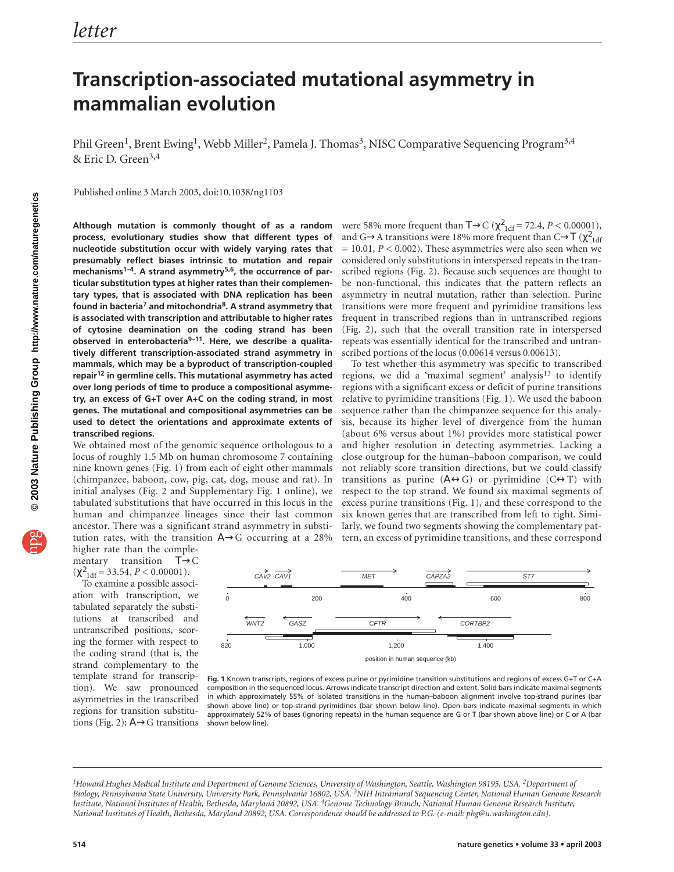## **Transcription-associated mutational asymmetry in mammalian evolution**

Phil Green<sup>1</sup>, Brent Ewing<sup>1</sup>, Webb Miller<sup>2</sup>, Pamela J. Thomas<sup>3</sup>, NISC Comparative Sequencing Program<sup>3,4</sup> & Eric D. Green<sup>3,4</sup>

Published online 3 March 2003, doi:10.1038/ng1103

**Although mutation is commonly thought of as a random process, evolutionary studies show that different types of nucleotide substitution occur with widely varying rates that presumably reflect biases intrinsic to mutation and repair** mechanisms<sup>1-4</sup>. A strand asymmetry<sup>5,6</sup>, the occurrence of par**ticular substitution types at higher rates than their complementary types, that is associated with DNA replication has been found in bacteria7 and mitochondria8. A strand asymmetry that is associated with transcription and attributable to higher rates of cytosine deamination on the coding strand has been observed in enterobacteria9–11. Here, we describe a qualitatively different transcription-associated strand asymmetry in mammals, which may be a byproduct of transcription-coupled repair<sup>12</sup> in germline cells. This mutational asymmetry has acted over long periods of time to produce a compositional asymmetry, an excess of G+T over A+C on the coding strand, in most genes. The mutational and compositional asymmetries can be used to detect the orientations and approximate extents of transcribed regions.**

We obtained most of the genomic sequence orthologous to a locus of roughly 1.5 Mb on human chromosome 7 containing nine known genes (Fig. 1) from each of eight other mammals (chimpanzee, baboon, cow, pig, cat, dog, mouse and rat). In initial analyses (Fig. 2 and Supplementary Fig. 1 online), we tabulated substitutions that have occurred in this locus in the human and chimpanzee lineages since their last common ancestor. There was a significant strand asymmetry in substitution rates, with the transition  $A \rightarrow G$  occurring at a 28% higher rate than the comple-

mentary transition T→C  $(\chi^2_{1\text{df}} = 33.54, P < 0.00001).$ 

To examine a possible association with transcription, we tabulated separately the substitutions at transcribed and untranscribed positions, scoring the former with respect to the coding strand (that is, the strand complementary to the template strand for transcription). We saw pronounced asymmetries in the transcribed regions for transition substitutions (Fig. 2):  $A \rightarrow G$  transitions

were 58% more frequent than T→C ( $\chi^2_{1df} = 72.4$ ,  $P < 0.00001$ ), and G→A transitions were 18% more frequent than C→T ( $\chi^2$ <sub>1df</sub>  $= 10.01, P < 0.002$ ). These asymmetries were also seen when we considered only substitutions in interspersed repeats in the transcribed regions (Fig. 2). Because such sequences are thought to be non-functional, this indicates that the pattern reflects an asymmetry in neutral mutation, rather than selection. Purine transitions were more frequent and pyrimidine transitions less frequent in transcribed regions than in untranscribed regions (Fig. 2), such that the overall transition rate in interspersed repeats was essentially identical for the transcribed and untranscribed portions of the locus (0.00614 versus 0.00613).

To test whether this asymmetry was specific to transcribed regions, we did a 'maximal segment' analysis<sup>13</sup> to identify regions with a significant excess or deficit of purine transitions relative to pyrimidine transitions (Fig. 1). We used the baboon sequence rather than the chimpanzee sequence for this analysis, because its higher level of divergence from the human (about 6% versus about 1%) provides more statistical power and higher resolution in detecting asymmetries. Lacking a close outgroup for the human–baboon comparison, we could not reliably score transition directions, but we could classify transitions as purine  $(A \leftrightarrow G)$  or pyrimidine  $(C \leftrightarrow T)$  with respect to the top strand. We found six maximal segments of excess purine transitions (Fig. 1), and these correspond to the six known genes that are transcribed from left to right. Similarly, we found two segments showing the complementary pattern, an excess of pyrimidine transitions, and these correspond



**Fig. 1** Known transcripts, regions of excess purine or pyrimidine transition substitutions and regions of excess G+T or C+A composition in the sequenced locus. Arrows indicate transcript direction and extent. Solid bars indicate maximal segments in which approximately 55% of isolated transitions in the human–baboon alignment involve top-strand purines (bar shown above line) or top-strand pyrimidines (bar shown below line). Open bars indicate maximal segments in which approximately 52% of bases (ignoring repeats) in the human sequence are G or T (bar shown above line) or C or A (bar shown below line).

*<sup>1</sup>Howard Hughes Medical Institute and Department of Genome Sciences, University of Washington, Seattle, Washington 98195, USA. 2Department of Biology, Pennsylvania State University, University Park, Pennsylvania 16802, USA. 3NIH Intramural Sequencing Center, National Human Genome Research Institute, National Institutes of Health, Bethesda, Maryland 20892, USA. 4Genome Technology Branch, National Human Genome Research Institute, National Institutes of Health, Bethesda, Maryland 20892, USA. Correspondence should be addressed to P.G. (e-mail: phg@u.washington.edu).*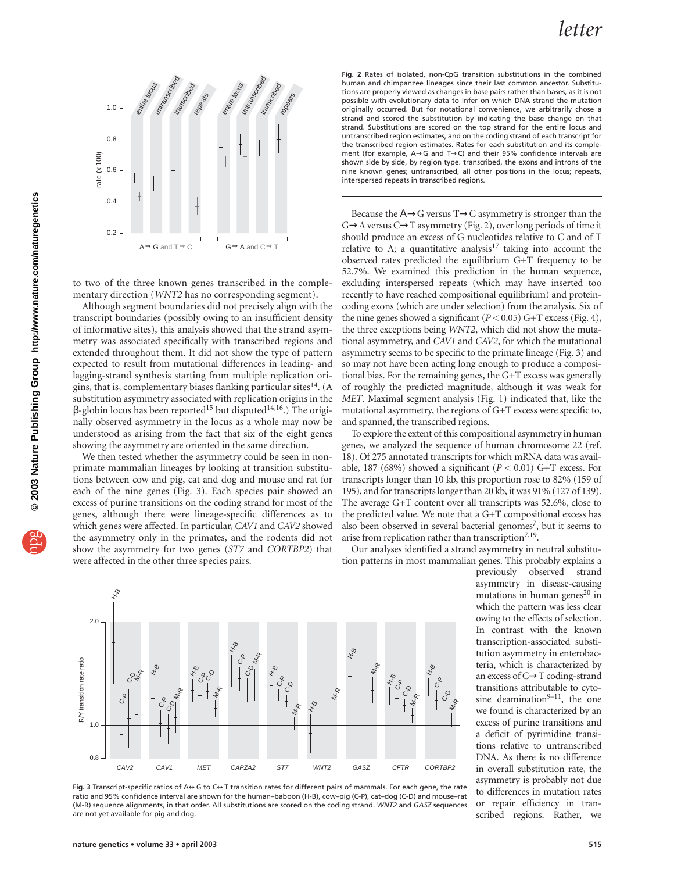

to two of the three known genes transcribed in the complementary direction (*WNT2* has no corresponding segment).

Although segment boundaries did not precisely align with the transcript boundaries (possibly owing to an insufficient density of informative sites), this analysis showed that the strand asymmetry was associated specifically with transcribed regions and extended throughout them. It did not show the type of pattern expected to result from mutational differences in leading- and lagging-strand synthesis starting from multiple replication origins, that is, complementary biases flanking particular sites<sup>14</sup>. (A substitution asymmetry associated with replication origins in the  $β$ -globin locus has been reported<sup>15</sup> but disputed<sup>14,16</sup>.) The originally observed asymmetry in the locus as a whole may now be understood as arising from the fact that six of the eight genes showing the asymmetry are oriented in the same direction.

We then tested whether the asymmetry could be seen in nonprimate mammalian lineages by looking at transition substitutions between cow and pig, cat and dog and mouse and rat for each of the nine genes (Fig. 3). Each species pair showed an excess of purine transitions on the coding strand for most of the genes, although there were lineage-specific differences as to which genes were affected. In particular, *CAV1* and *CAV2* showed the asymmetry only in the primates, and the rodents did not show the asymmetry for two genes (*ST7* and *CORTBP2*) that were affected in the other three species pairs.

**Fig. 2** Rates of isolated, non-CpG transition substitutions in the combined human and chimpanzee lineages since their last common ancestor. Substitutions are properly viewed as changes in base pairs rather than bases, as it is not possible with evolutionary data to infer on which DNA strand the mutation originally occurred. But for notational convenience, we arbitrarily chose a strand and scored the substitution by indicating the base change on that strand. Substitutions are scored on the top strand for the entire locus and untranscribed region estimates, and on the coding strand of each transcript for the transcribed region estimates. Rates for each substitution and its complement (for example, A→G and T→C) and their 95% confidence intervals are shown side by side, by region type. transcribed, the exons and introns of the nine known genes; untranscribed, all other positions in the locus; repeats, interspersed repeats in transcribed regions.

Because the Α→G versus T→C asymmetry is stronger than the G→A versus C→T asymmetry (Fig. 2), over long periods of time it should produce an excess of G nucleotides relative to C and of T relative to A; a quantitative analysis $17$  taking into account the observed rates predicted the equilibrium G+T frequency to be 52.7%. We examined this prediction in the human sequence, excluding interspersed repeats (which may have inserted too recently to have reached compositional equilibrium) and proteincoding exons (which are under selection) from the analysis. Six of the nine genes showed a significant (*P* < 0.05) G+T excess (Fig. 4), the three exceptions being *WNT2*, which did not show the mutational asymmetry, and *CAV1* and *CAV2*, for which the mutational asymmetry seems to be specific to the primate lineage (Fig. 3) and so may not have been acting long enough to produce a compositional bias. For the remaining genes, the G+T excess was generally of roughly the predicted magnitude, although it was weak for *MET*. Maximal segment analysis (Fig. 1) indicated that, like the mutational asymmetry, the regions of G+T excess were specific to, and spanned, the transcribed regions.

To explore the extent of this compositional asymmetry in human genes, we analyzed the sequence of human chromosome 22 (ref. 18). Of 275 annotated transcripts for which mRNA data was available, 187 (68%) showed a significant  $(P < 0.01)$  G+T excess. For transcripts longer than 10 kb, this proportion rose to 82% (159 of 195), and for transcripts longer than 20 kb, it was 91% (127 of 139). The average G+T content over all transcripts was 52.6%, close to the predicted value. We note that a G+T compositional excess has also been observed in several bacterial genomes<sup>7</sup>, but it seems to arise from replication rather than transcription<sup>7,19</sup>.

Our analyses identified a strand asymmetry in neutral substitution patterns in most mammalian genes. This probably explains a



**Fig. 3** Transcript-specific ratios of A↔G to C↔T transition rates for different pairs of mammals. For each gene, the rate ratio and 95% confidence interval are shown for the human–baboon (H-B), cow–pig (C-P), cat–dog (C-D) and mouse–rat (M-R) sequence alignments, in that order. All substitutions are scored on the coding strand. *WNT2* and *GASZ* sequences are not yet available for pig and dog.

previously observed strand asymmetry in disease-causing mutations in human genes<sup>20</sup> in which the pattern was less clear owing to the effects of selection. In contrast with the known transcription-associated substitution asymmetry in enterobacteria, which is characterized by an excess of C→T coding-strand transitions attributable to cytosine deamination $9-11$ , the one we found is characterized by an excess of purine transitions and a deficit of pyrimidine transitions relative to untranscribed DNA. As there is no difference in overall substitution rate, the asymmetry is probably not due to differences in mutation rates or repair efficiency in transcribed regions. Rather, we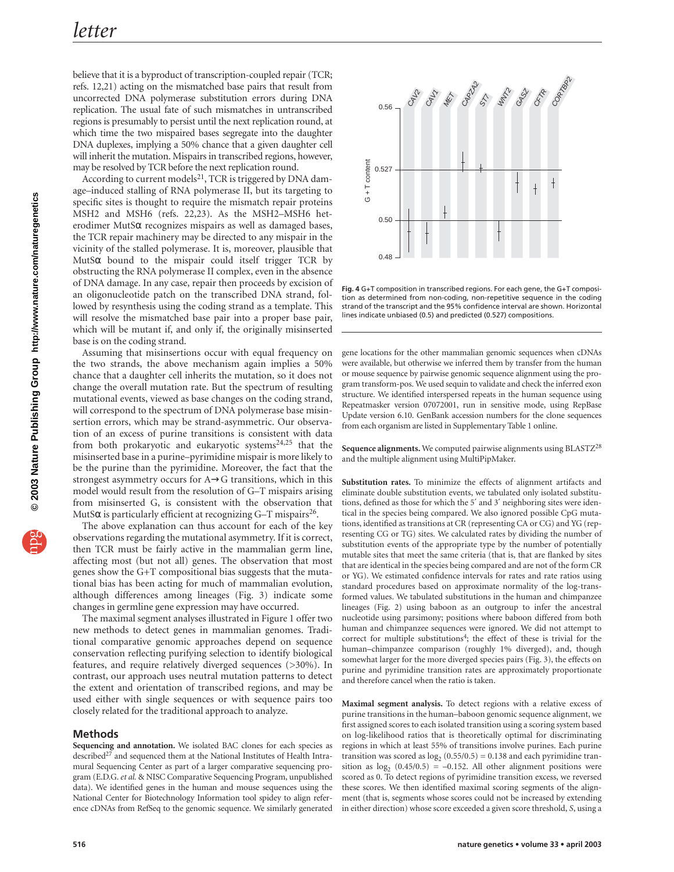believe that it is a byproduct of transcription-coupled repair (TCR; refs. 12,21) acting on the mismatched base pairs that result from uncorrected DNA polymerase substitution errors during DNA replication. The usual fate of such mismatches in untranscribed regions is presumably to persist until the next replication round, at which time the two mispaired bases segregate into the daughter DNA duplexes, implying a 50% chance that a given daughter cell will inherit the mutation. Mispairs in transcribed regions, however, may be resolved by TCR before the next replication round.

According to current models<sup>21</sup>, TCR is triggered by DNA damage–induced stalling of RNA polymerase II, but its targeting to specific sites is thought to require the mismatch repair proteins MSH2 and MSH6 (refs. 22,23). As the MSH2–MSH6 heterodimer MutSα recognizes mispairs as well as damaged bases, the TCR repair machinery may be directed to any mispair in the vicinity of the stalled polymerase. It is, moreover, plausible that MutSα bound to the mispair could itself trigger TCR by obstructing the RNA polymerase II complex, even in the absence of DNA damage. In any case, repair then proceeds by excision of an oligonucleotide patch on the transcribed DNA strand, followed by resynthesis using the coding strand as a template. This will resolve the mismatched base pair into a proper base pair, which will be mutant if, and only if, the originally misinserted base is on the coding strand.

Assuming that misinsertions occur with equal frequency on the two strands, the above mechanism again implies a 50% chance that a daughter cell inherits the mutation, so it does not change the overall mutation rate. But the spectrum of resulting mutational events, viewed as base changes on the coding strand, will correspond to the spectrum of DNA polymerase base misinsertion errors, which may be strand-asymmetric. Our observation of an excess of purine transitions is consistent with data from both prokaryotic and eukaryotic systems $24,25$  that the misinserted base in a purine–pyrimidine mispair is more likely to be the purine than the pyrimidine. Moreover, the fact that the strongest asymmetry occurs for A→G transitions, which in this model would result from the resolution of G–T mispairs arising from misinserted G, is consistent with the observation that MutS $\alpha$  is particularly efficient at recognizing G-T mispairs<sup>26</sup>.

The above explanation can thus account for each of the key observations regarding the mutational asymmetry. If it is correct, then TCR must be fairly active in the mammalian germ line, affecting most (but not all) genes. The observation that most genes show the G+T compositional bias suggests that the mutational bias has been acting for much of mammalian evolution, although differences among lineages (Fig. 3) indicate some changes in germline gene expression may have occurred.

The maximal segment analyses illustrated in Figure 1 offer two new methods to detect genes in mammalian genomes. Traditional comparative genomic approaches depend on sequence conservation reflecting purifying selection to identify biological features, and require relatively diverged sequences (>30%). In contrast, our approach uses neutral mutation patterns to detect the extent and orientation of transcribed regions, and may be used either with single sequences or with sequence pairs too closely related for the traditional approach to analyze.

## **Methods**

**Sequencing and annotation.** We isolated BAC clones for each species as described<sup>27</sup> and sequenced them at the National Institutes of Health Intramural Sequencing Center as part of a larger comparative sequencing program (E.D.G. *et al.* & NISC Comparative Sequencing Program, unpublished data). We identified genes in the human and mouse sequences using the National Center for Biotechnology Information tool spidey to align reference cDNAs from RefSeq to the genomic sequence. We similarly generated



**Fig. 4** G+T composition in transcribed regions. For each gene, the G+T composition as determined from non-coding, non-repetitive sequence in the coding strand of the transcript and the 95% confidence interval are shown. Horizontal lines indicate unbiased (0.5) and predicted (0.527) compositions.

gene locations for the other mammalian genomic sequences when cDNAs were available, but otherwise we inferred them by transfer from the human or mouse sequence by pairwise genomic sequence alignment using the program transform-pos. We used sequin to validate and check the inferred exon structure. We identified interspersed repeats in the human sequence using Repeatmasker version 07072001, run in sensitive mode, using RepBase Update version 6.10. GenBank accession numbers for the clone sequences from each organism are listed in Supplementary Table 1 online.

**Sequence alignments.** We computed pairwise alignments using BLASTZ28 and the multiple alignment using MultiPipMaker.

**Substitution rates.** To minimize the effects of alignment artifacts and eliminate double substitution events, we tabulated only isolated substitutions, defined as those for which the 5′ and 3′ neighboring sites were identical in the species being compared. We also ignored possible CpG mutations, identified as transitions at CR (representing CA or CG) and YG (representing CG or TG) sites. We calculated rates by dividing the number of substitution events of the appropriate type by the number of potentially mutable sites that meet the same criteria (that is, that are flanked by sites that are identical in the species being compared and are not of the form CR or YG). We estimated confidence intervals for rates and rate ratios using standard procedures based on approximate normality of the log-transformed values. We tabulated substitutions in the human and chimpanzee lineages (Fig. 2) using baboon as an outgroup to infer the ancestral nucleotide using parsimony; positions where baboon differed from both human and chimpanzee sequences were ignored. We did not attempt to correct for multiple substitutions<sup>4</sup>; the effect of these is trivial for the human–chimpanzee comparison (roughly 1% diverged), and, though somewhat larger for the more diverged species pairs (Fig. 3), the effects on purine and pyrimidine transition rates are approximately proportionate and therefore cancel when the ratio is taken.

**Maximal segment analysis.** To detect regions with a relative excess of purine transitions in the human–baboon genomic sequence alignment, we first assigned scores to each isolated transition using a scoring system based on log-likelihood ratios that is theoretically optimal for discriminating regions in which at least 55% of transitions involve purines. Each purine transition was scored as  $log_2(0.55/0.5) = 0.138$  and each pyrimidine transition as  $log_2$  (0.45/0.5) = -0.152. All other alignment positions were scored as 0. To detect regions of pyrimidine transition excess, we reversed these scores. We then identified maximal scoring segments of the alignment (that is, segments whose scores could not be increased by extending in either direction) whose score exceeded a given score threshold, *S*, using a